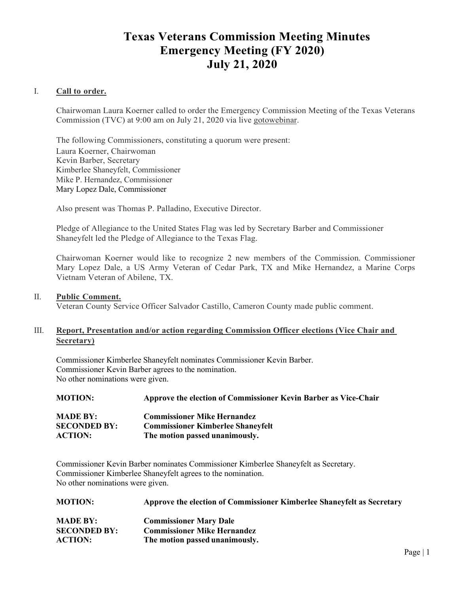# **Texas Veterans Commission Meeting Minutes Emergency Meeting (FY 2020) July 21, 2020**

# I. **Call to order.**

Chairwoman Laura Koerner called to order the Emergency Commission Meeting of the Texas Veterans Commission (TVC) at 9:00 am on July 21, 2020 via live gotowebinar.

The following Commissioners, constituting a quorum were present: Laura Koerner, Chairwoman Kevin Barber, Secretary Kimberlee Shaneyfelt, Commissioner Mike P. Hernandez, Commissioner Mary Lopez Dale, Commissioner

Also present was Thomas P. Palladino, Executive Director.

Pledge of Allegiance to the United States Flag was led by Secretary Barber and Commissioner Shaneyfelt led the Pledge of Allegiance to the Texas Flag.

Chairwoman Koerner would like to recognize 2 new members of the Commission. Commissioner Mary Lopez Dale, a US Army Veteran of Cedar Park, TX and Mike Hernandez, a Marine Corps Vietnam Veteran of Abilene, TX.

### II. **Public Comment.**

Veteran County Service Officer Salvador Castillo, Cameron County made public comment.

# III. **Report, Presentation and/or action regarding Commission Officer elections (Vice Chair and Secretary)**

Commissioner Kimberlee Shaneyfelt nominates Commissioner Kevin Barber. Commissioner Kevin Barber agrees to the nomination. No other nominations were given.

| <b>MOTION:</b>      | Approve the election of Commissioner Kevin Barber as Vice-Chair |
|---------------------|-----------------------------------------------------------------|
| <b>MADE BY:</b>     | <b>Commissioner Mike Hernandez</b>                              |
| <b>SECONDED BY:</b> | <b>Commissioner Kimberlee Shaneyfelt</b>                        |
| <b>ACTION:</b>      | The motion passed unanimously.                                  |
|                     |                                                                 |

Commissioner Kevin Barber nominates Commissioner Kimberlee Shaneyfelt as Secretary. Commissioner Kimberlee Shaneyfelt agrees to the nomination. No other nominations were given.

| <b>MOTION:</b>      | Approve the election of Commissioner Kimberlee Shaneyfelt as Secretary |
|---------------------|------------------------------------------------------------------------|
| <b>MADE BY:</b>     | <b>Commissioner Mary Dale</b>                                          |
| <b>SECONDED BY:</b> | <b>Commissioner Mike Hernandez</b>                                     |
| <b>ACTION:</b>      | The motion passed unanimously.                                         |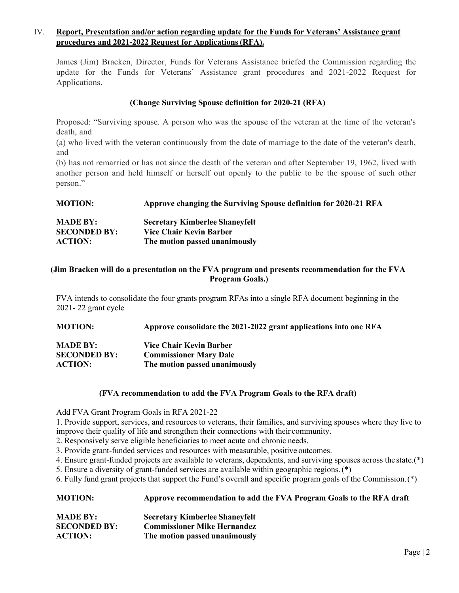# IV. **Report, Presentation and/or action regarding update for the Funds for Veterans' Assistance grant procedures and 2021-2022 Request for Applications (RFA).**

James (Jim) Bracken, Director, Funds for Veterans Assistance briefed the Commission regarding the update for the Funds for Veterans' Assistance grant procedures and 2021-2022 Request for Applications.

# **(Change Surviving Spouse definition for 2020-21 (RFA)**

Proposed: "Surviving spouse. A person who was the spouse of the veteran at the time of the veteran's death, and

(a) who lived with the veteran continuously from the date of marriage to the date of the veteran's death, and

(b) has not remarried or has not since the death of the veteran and after September 19, 1962, lived with another person and held himself or herself out openly to the public to be the spouse of such other person."

| <b>MOTION:</b>                         | Approve changing the Surviving Spouse definition for 2020-21 RFA |
|----------------------------------------|------------------------------------------------------------------|
| <b>MADE BY:</b><br><b>SECONDED BY:</b> | <b>Secretary Kimberlee Shaneyfelt</b><br>Vice Chair Kevin Barber |
| <b>ACTION:</b>                         | The motion passed unanimously                                    |

# **(Jim Bracken will do a presentation on the FVA program and presents recommendation for the FVA Program Goals.)**

FVA intends to consolidate the four grants program RFAs into a single RFA document beginning in the 2021- 22 grant cycle

**MOTION: Approve consolidate the 2021-2022 grant applications into one RFA** 

| <b>MADE BY:</b>     | Vice Chair Kevin Barber       |
|---------------------|-------------------------------|
| <b>SECONDED BY:</b> | <b>Commissioner Mary Dale</b> |
| <b>ACTION:</b>      | The motion passed unanimously |

### **(FVA recommendation to add the FVA Program Goals to the RFA draft)**

Add FVA Grant Program Goals in RFA 2021-22

1. Provide support, services, and resources to veterans, their families, and surviving spouses where they live to improve their quality of life and strengthen their connections with their community.

2. Responsively serve eligible beneficiaries to meet acute and chronic needs.

3. Provide grant-funded services and resources with measurable, positive outcomes.

4. Ensure grant-funded projects are available to veterans, dependents, and surviving spouses across the state.(\*)

5. Ensure a diversity of grant-funded services are available within geographic regions. (\*)

6. Fully fund grant projects that support the Fund's overall and specific program goals of the Commission. (\*)

| <b>MOTION:</b> | Approve recommendation to add the FVA Program Goals to the RFA draft |
|----------------|----------------------------------------------------------------------|
|                |                                                                      |

| <b>MADE BY:</b>     | <b>Secretary Kimberlee Shaneyfelt</b> |
|---------------------|---------------------------------------|
| <b>SECONDED BY:</b> | <b>Commissioner Mike Hernandez</b>    |
| <b>ACTION:</b>      | The motion passed unanimously         |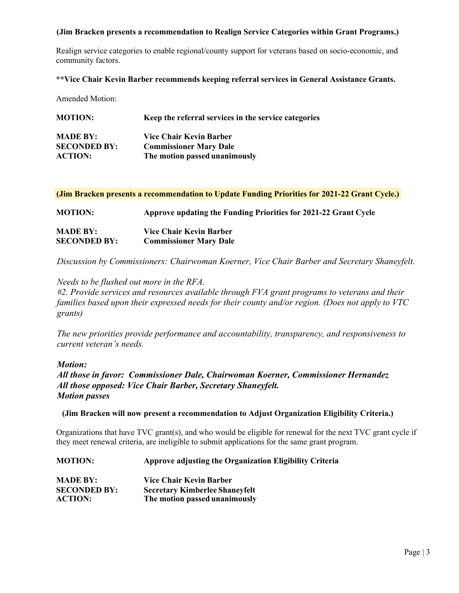# **(Jim Bracken presents a recommendation to Realign Service Categories within Grant Programs.)**

Realign service categories to enable regional/county support for veterans based on socio-economic, and community factors.

### **\*\*Vice Chair Kevin Barber recommends keeping referral services in General Assistance Grants.**

Amended Motion:

| <b>MOTION:</b>      | Keep the referral services in the service categories |
|---------------------|------------------------------------------------------|
| <b>MADE BY:</b>     | Vice Chair Kevin Barber                              |
| <b>SECONDED BY:</b> | <b>Commissioner Mary Dale</b>                        |
| <b>ACTION:</b>      | The motion passed unanimously                        |

**(Jim Bracken presents a recommendation to Update Funding Priorities for 2021-22 Grant Cycle.)**

**MOTION: Approve updating the Funding Priorities for 2021-22 Grant Cycle MADE BY: Vice Chair Kevin Barber SECONDED BY: Commissioner Mary Dale**

*Discussion by Commissioners: Chairwoman Koerner, Vice Chair Barber and Secretary Shaneyfelt.*

*Needs to be flushed out more in the RFA.* 

*#2. Provide services and resources available through FVA grant programs to veterans and their families based upon their expressed needs for their county and/or region. (Does not apply to VTC grants)* 

*The new priorities provide performance and accountability, transparency, and responsiveness to current veteran's needs.*

### *Motion:*

*All those in favor: Commissioner Dale, Chairwoman Koerner, Commissioner Hernandez All those opposed: Vice Chair Barber, Secretary Shaneyfelt. Motion passes* 

### **(Jim Bracken will now present a recommendation to Adjust Organization Eligibility Criteria.)**

Organizations that have TVC grant(s), and who would be eligible for renewal for the next TVC grant cycle if they meet renewal criteria, are ineligible to submit applications for the same grant program.

| <b>MOTION:</b>                        | Approve adjusting the Organization Eligibility Criteria                |
|---------------------------------------|------------------------------------------------------------------------|
| <b>MADE BY:</b>                       | Vice Chair Kevin Barber                                                |
| <b>SECONDED BY:</b><br><b>ACTION:</b> | <b>Secretary Kimberlee Shaneyfelt</b><br>The motion passed unanimously |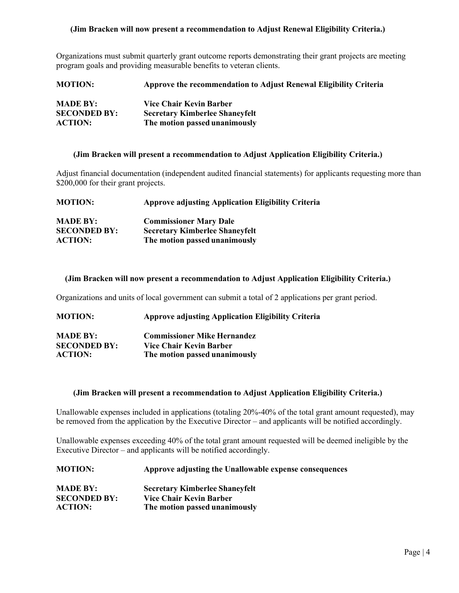# **(Jim Bracken will now present a recommendation to Adjust Renewal Eligibility Criteria.)**

Organizations must submit quarterly grant outcome reports demonstrating their grant projects are meeting program goals and providing measurable benefits to veteran clients.

| <b>MOTION:</b>      | Approve the recommendation to Adjust Renewal Eligibility Criteria |
|---------------------|-------------------------------------------------------------------|
| <b>MADE BY:</b>     | Vice Chair Kevin Barber                                           |
| <b>SECONDED BY:</b> | <b>Secretary Kimberlee Shaneyfelt</b>                             |
| <b>ACTION:</b>      | The motion passed unanimously                                     |

#### **(Jim Bracken will present a recommendation to Adjust Application Eligibility Criteria.)**

Adjust financial documentation (independent audited financial statements) for applicants requesting more than \$200,000 for their grant projects.

| <b>MOTION:</b>      | <b>Approve adjusting Application Eligibility Criteria</b> |
|---------------------|-----------------------------------------------------------|
| <b>MADE BY:</b>     | <b>Commissioner Mary Dale</b>                             |
| <b>SECONDED BY:</b> | <b>Secretary Kimberlee Shaneyfelt</b>                     |
| <b>ACTION:</b>      | The motion passed unanimously                             |

#### **(Jim Bracken will now present a recommendation to Adjust Application Eligibility Criteria.)**

Organizations and units of local government can submit a total of 2 applications per grant period.

| <b>MOTION:</b> | <b>Approve adjusting Application Eligibility Criteria</b> |
|----------------|-----------------------------------------------------------|
|----------------|-----------------------------------------------------------|

| <b>MADE BY:</b>     | <b>Commissioner Mike Hernandez</b> |
|---------------------|------------------------------------|
| <b>SECONDED BY:</b> | Vice Chair Kevin Barber            |
| <b>ACTION:</b>      | The motion passed unanimously      |

#### **(Jim Bracken will present a recommendation to Adjust Application Eligibility Criteria.)**

Unallowable expenses included in applications (totaling 20%-40% of the total grant amount requested), may be removed from the application by the Executive Director – and applicants will be notified accordingly.

Unallowable expenses exceeding 40% of the total grant amount requested will be deemed ineligible by the Executive Director – and applicants will be notified accordingly.

| <b>MOTION:</b>      | Approve adjusting the Unallowable expense consequences |
|---------------------|--------------------------------------------------------|
| <b>MADE BY:</b>     | <b>Secretary Kimberlee Shaneyfelt</b>                  |
| <b>SECONDED BY:</b> | Vice Chair Kevin Barber                                |
| <b>ACTION:</b>      | The motion passed unanimously                          |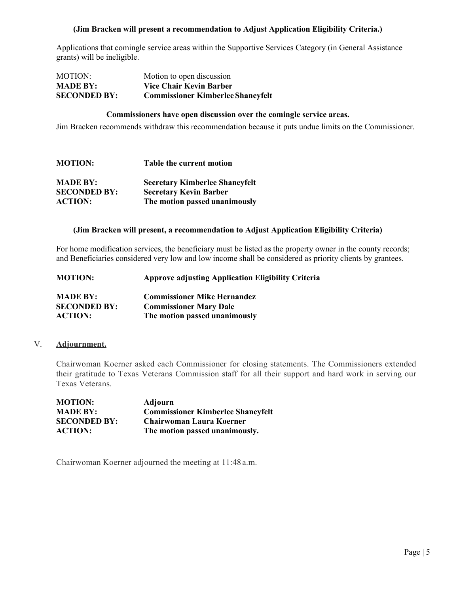# **(Jim Bracken will present a recommendation to Adjust Application Eligibility Criteria.)**

Applications that comingle service areas within the Supportive Services Category (in General Assistance grants) will be ineligible.

| MOTION:             | Motion to open discussion                |
|---------------------|------------------------------------------|
| <b>MADE BY:</b>     | Vice Chair Kevin Barber                  |
| <b>SECONDED BY:</b> | <b>Commissioner Kimberlee Shaneyfelt</b> |

#### **Commissioners have open discussion over the comingle service areas.**

Jim Bracken recommends withdraw this recommendation because it puts undue limits on the Commissioner.

| <b>MOTION:</b>      | <b>Table the current motion</b>       |
|---------------------|---------------------------------------|
| <b>MADE BY:</b>     | <b>Secretary Kimberlee Shaneyfelt</b> |
| <b>SECONDED BY:</b> | <b>Secretary Kevin Barber</b>         |
| <b>ACTION:</b>      | The motion passed unanimously         |

#### **(Jim Bracken will present, a recommendation to Adjust Application Eligibility Criteria)**

For home modification services, the beneficiary must be listed as the property owner in the county records; and Beneficiaries considered very low and low income shall be considered as priority clients by grantees.

| <b>MOTION:</b>      | <b>Approve adjusting Application Eligibility Criteria</b> |
|---------------------|-----------------------------------------------------------|
| <b>MADE BY:</b>     | <b>Commissioner Mike Hernandez</b>                        |
| <b>SECONDED BY:</b> | <b>Commissioner Mary Dale</b>                             |
| <b>ACTION:</b>      | The motion passed unanimously                             |

### V. **Adjournment.**

Chairwoman Koerner asked each Commissioner for closing statements. The Commissioners extended their gratitude to Texas Veterans Commission staff for all their support and hard work in serving our Texas Veterans.

| <b>MOTION:</b>      | Adjourn                                  |
|---------------------|------------------------------------------|
| <b>MADE BY:</b>     | <b>Commissioner Kimberlee Shaneyfelt</b> |
| <b>SECONDED BY:</b> | <b>Chairwoman Laura Koerner</b>          |
| <b>ACTION:</b>      | The motion passed unanimously.           |

Chairwoman Koerner adjourned the meeting at 11:48 a.m.